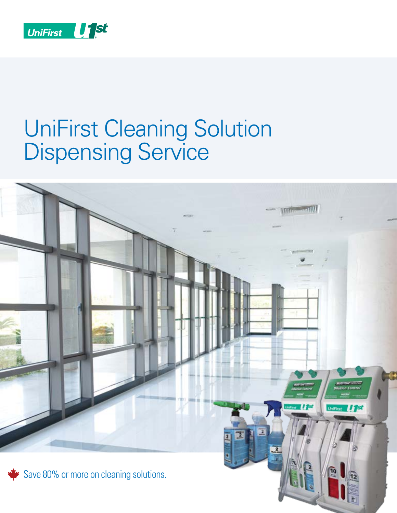

# UniFirst Cleaning Solution Dispensing Service

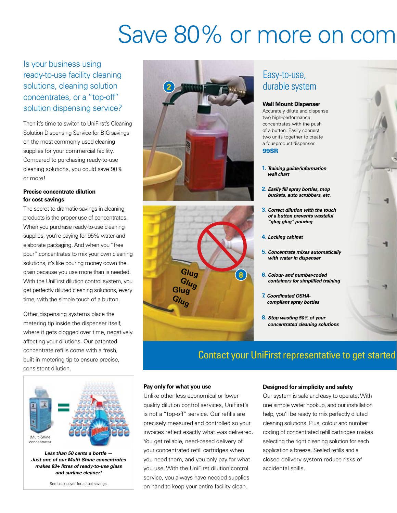# Save 80% or more on comm

Is your business using ready-to-use facility cleaning solutions, cleaning solution concentrates, or a "top-off" solution dispensing service?

Then it's time to switch to UniFirst's Cleaning Solution Dispensing Service for BIG savings on the most commonly used cleaning supplies for your commercial facility. Compared to purchasing ready-to-use cleaning solutions, you could save 90% or more!

### **Precise concentrate dilution for cost savings**

The secret to dramatic savings in cleaning products is the proper use of concentrates. When you purchase ready-to-use cleaning supplies, you're paying for 95% water and elaborate packaging. And when you "free pour" concentrates to mix your own cleaning solutions, it's like pouring money down the drain because you use more than is needed. With the UniFirst dilution control system, you get perfectly diluted cleaning solutions, every time, with the simple touch of a button.

Other dispensing systems place the metering tip inside the dispenser itself, where it gets clogged over time, negatively affecting your dilutions. Our patented concentrate refills come with a fresh, built-in metering tip to ensure precise, consistent dilution.



*Less than 50 cents a bottle — Just one of our Multi-Shine concentrates makes 83+ litres of ready-to-use glass and surface cleaner!*

See back cover for actual savings.





## Easy-to-use, durable system

#### **Wall Mount Dispenser**

Accurately dilute and dispense two high-performance concentrates with the push of a button. Easily connect two units together to create a four-product dispenser. 99SR

- **1.** *Training guide/information wall chart*
- **2.** *Easily fill spray bottles, mop buckets, auto scrubbers, etc.*
- **3.** *Correct dilution with the touch of a button prevents wasteful "glug glug" pouring*
- **4.** *Locking cabinet*
- **5.** *Concentrate mixes automatically with water in dispenser*
- **6.** *Colour- and number-coded containers for simplified training*
- **7.** *Coordinated OSHAcompliant spray bottles*
- **8.** *Stop wasting 50% of your concentrated cleaning solutions*

### Contact your UniFirst representative to get started

#### **Pay only for what you use**

Unlike other less economical or lower quality dilution control services, UniFirst's is not a "top-off" service. Our refills are precisely measured and controlled so your invoices reflect exactly what was delivered. You get reliable, need-based delivery of your concentrated refill cartridges when you need them, and you only pay for what you use. With the UniFirst dilution control service, you always have needed supplies on hand to keep your entire facility clean.

#### **Designed for simplicity and safety**

Our system is safe and easy to operate. With one simple water hookup, and our installation help, you'll be ready to mix perfectly diluted cleaning solutions. Plus, colour and number coding of concentrated refill cartridges makes selecting the right cleaning solution for each application a breeze. Sealed refills and a closed delivery system reduce risks of accidental spills.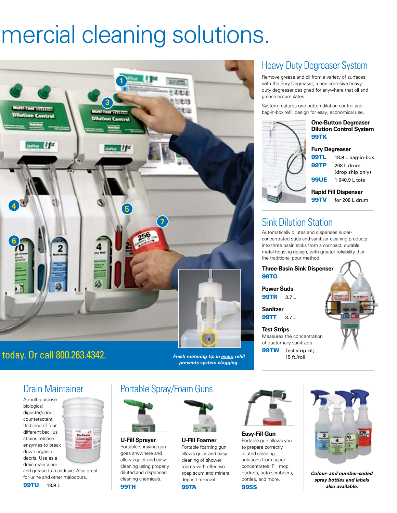# mercial cleaning solutions.



# Coday. Or call 800.263.4342. *Fresh metering tip in <u>every</u> refill*

*prevents system clogging.*

### Portable Spray/Foam Guns



**U-Fill Sprayer** Portable spraying gun goes anywhere and allows quick and easy cleaning using properly diluted and dispensed cleaning chemicals.

**U-Fill Foamer**  Portable foaming gun allows quick and easy cleaning of shower rooms with effective soap scum and mineral deposit removal.

#### 99TA

# Heavy-Duty Degreaser System

Remove grease and oil from a variety of surfaces with the Fury Degreaser, a non-corrosive heavyduty degreaser designed for anywhere that oil and grease accumulates.

System features one-button dilution control and bag-in-box refill design for easy, economical use.



#### **One-Button Degreaser Dilution Control System** 99TK

#### **Fury Degreaser**

99TL 18.9 L bag-in-box 99TP 208 L drum (drop ship only) **99UE** 1,040.9 L tote

**Rapid Fill Dispenser** 99TV for 208 L drum

### Sink Dilution Station

Automatically dilutes and dispenses superconcentrated suds and sanitizer cleaning products into three basin sinks from a compact, durable metal-housing design, with greater reliability than the traditional pour method.

**Three-Basin Sink Dispenser** 99TQ

**Power Suds 99TR** 371

**Sanitzer 99TT** 3.7 L

**Test Strips** Measures the concentration of quaternary sanitizers. **99TW** Test strip kit;

15 ft./roll



**Easy-Fill Gun** Portable gun allows you to prepare correctly diluted cleaning solutions from super concentrates. Fill mop buckets, auto scrubbers, bottles, and more. 99SS



*Colour- and number-coded spray bottles and labels also available.*



# Drain Maintainer

A multi-purpose biological digester/odour counteractant. Its blend of four different bacillus strains release enzymes to break down organic debris. Use as a drain maintainer



and grease trap additive. Also great for urine and other malodours.